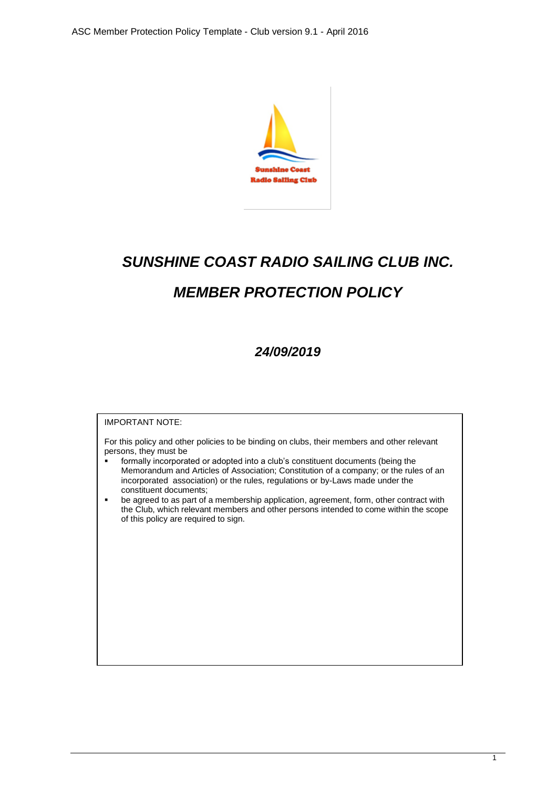

# *SUNSHINE COAST RADIO SAILING CLUB INC. MEMBER PROTECTION POLICY*

# *24/09/2019*

# IMPORTANT NOTE: For this policy and other policies to be binding on clubs, their members and other relevant persons, they must be formally incorporated or adopted into a club's constituent documents (being the Memorandum and Articles of Association; Constitution of a company; or the rules of an incorporated association) or the rules, regulations or by-Laws made under the constituent documents; ■ be agreed to as part of a membership application, agreement, form, other contract with the Club, which relevant members and other persons intended to come within the scope of this policy are required to sign.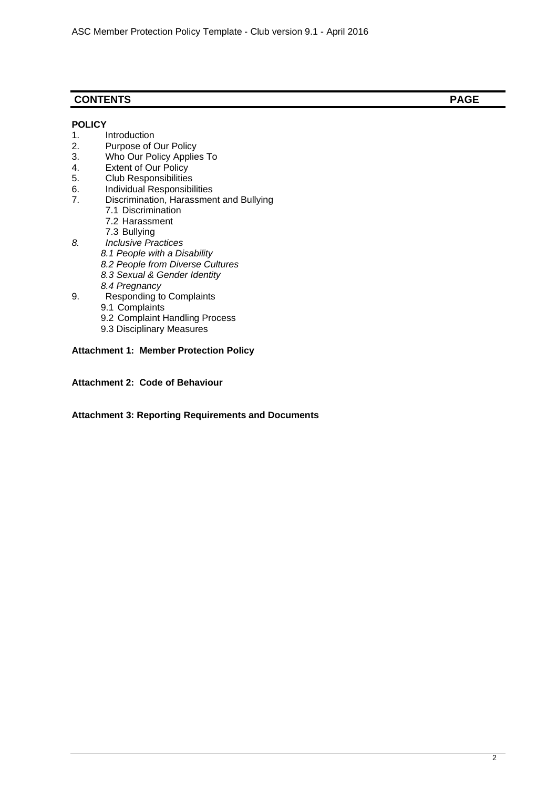# **CONTENTS PAGE**

#### **POLICY**

- 1. Introduction
- 2. Purpose of Our Policy
- 3. Who Our Policy Applies To
- 4. Extent of Our Policy
- 5. Club Responsibilities
- 6. Individual Responsibilities<br>7. Discrimination, Harassmer
- Discrimination, Harassment and Bullying
	- 7.1 Discrimination
	- 7.2 Harassment
	- 7.3 Bullying
- *8. Inclusive Practices 8.1 People with a Disability 8.2 People from Diverse Cultures 8.3 Sexual & Gender Identity 8.4 Pregnancy*
- 9. Responding to Complaints
	- 9.1 Complaints
	- 9.2 Complaint Handling Process
	- 9.3 Disciplinary Measures

#### **Attachment 1: Member Protection Policy**

**Attachment 2: Code of Behaviour**

#### **Attachment 3: Reporting Requirements and Documents**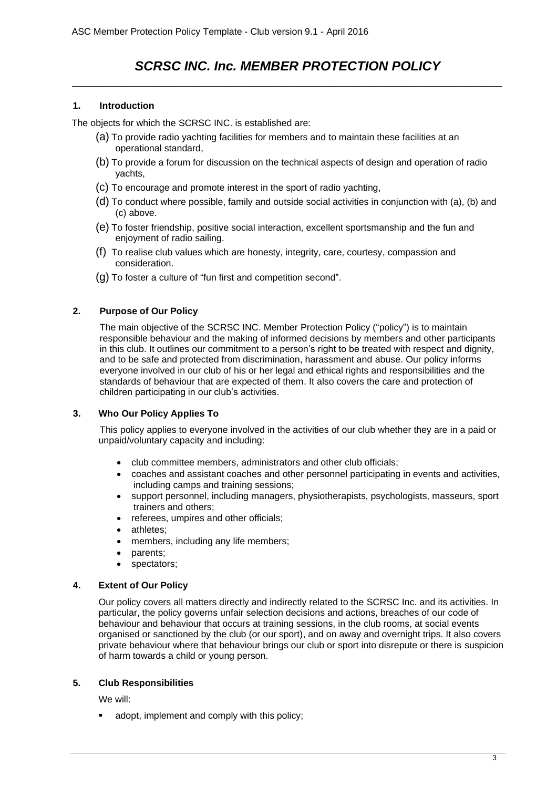# *SCRSC INC. Inc. MEMBER PROTECTION POLICY \_\_\_\_\_\_\_\_\_\_\_\_\_\_\_\_\_\_\_\_\_\_\_\_\_\_\_\_\_\_\_\_\_\_\_\_\_\_\_\_\_\_\_\_\_\_\_\_\_\_\_\_\_\_\_\_\_\_\_*

#### **1. Introduction**

The objects for which the SCRSC INC. is established are:

- (a) To provide radio yachting facilities for members and to maintain these facilities at an operational standard,
- (b) To provide a forum for discussion on the technical aspects of design and operation of radio yachts,
- (c) To encourage and promote interest in the sport of radio yachting,
- (d) To conduct where possible, family and outside social activities in conjunction with (a), (b) and (c) above.
- (e) To foster friendship, positive social interaction, excellent sportsmanship and the fun and enjoyment of radio sailing.
- (f) To realise club values which are honesty, integrity, care, courtesy, compassion and consideration.
- (g) To foster a culture of "fun first and competition second".

#### **2. Purpose of Our Policy**

The main objective of the SCRSC INC. Member Protection Policy ("policy") is to maintain responsible behaviour and the making of informed decisions by members and other participants in this club. It outlines our commitment to a person's right to be treated with respect and dignity, and to be safe and protected from discrimination, harassment and abuse. Our policy informs everyone involved in our club of his or her legal and ethical rights and responsibilities and the standards of behaviour that are expected of them. It also covers the care and protection of children participating in our club's activities.

#### **3. Who Our Policy Applies To**

This policy applies to everyone involved in the activities of our club whether they are in a paid or unpaid/voluntary capacity and including:

- club committee members, administrators and other club officials;
- coaches and assistant coaches and other personnel participating in events and activities, including camps and training sessions;
- support personnel, including managers, physiotherapists, psychologists, masseurs, sport trainers and others;
- referees, umpires and other officials;
- athletes:
- members, including any life members;
- parents;
- spectators;

#### **4. Extent of Our Policy**

Our policy covers all matters directly and indirectly related to the SCRSC Inc. and its activities. In particular, the policy governs unfair selection decisions and actions, breaches of our code of behaviour and behaviour that occurs at training sessions, in the club rooms, at social events organised or sanctioned by the club (or our sport), and on away and overnight trips. It also covers private behaviour where that behaviour brings our club or sport into disrepute or there is suspicion of harm towards a child or young person.

#### **5. Club Responsibilities**

We will:

adopt, implement and comply with this policy;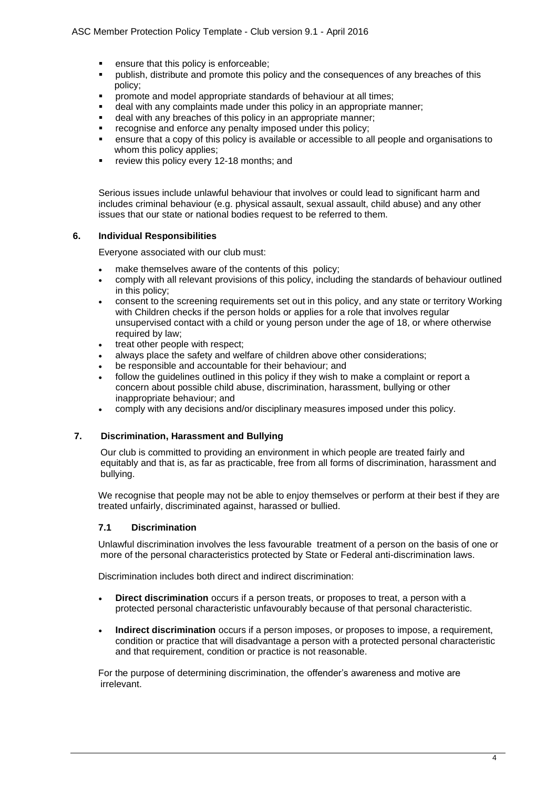- ensure that this policy is enforceable;
- publish, distribute and promote this policy and the consequences of any breaches of this policy;
- **•** promote and model appropriate standards of behaviour at all times;
- deal with any complaints made under this policy in an appropriate manner;
- deal with any breaches of this policy in an appropriate manner;
- recognise and enforce any penalty imposed under this policy;
- **•** ensure that a copy of this policy is available or accessible to all people and organisations to whom this policy applies;
- review this policy every 12-18 months; and

Serious issues include unlawful behaviour that involves or could lead to significant harm and includes criminal behaviour (e.g. physical assault, sexual assault, child abuse) and any other issues that our state or national bodies request to be referred to them.

#### **6. Individual Responsibilities**

Everyone associated with our club must:

- make themselves aware of the contents of this policy;
- comply with all relevant provisions of this policy, including the standards of behaviour outlined in this policy;
- consent to the screening requirements set out in this policy, and any state or territory Working with Children checks if the person holds or applies for a role that involves regular unsupervised contact with a child or young person under the age of 18, or where otherwise required by law;
- treat other people with respect:
- always place the safety and welfare of children above other considerations;
- be responsible and accountable for their behaviour; and
- follow the quidelines outlined in this policy if they wish to make a complaint or report a concern about possible child abuse, discrimination, harassment, bullying or other inappropriate behaviour; and
- comply with any decisions and/or disciplinary measures imposed under this policy.

#### **7. Discrimination, Harassment and Bullying**

Our club is committed to providing an environment in which people are treated fairly and equitably and that is, as far as practicable, free from all forms of discrimination, harassment and bullying.

We recognise that people may not be able to enjoy themselves or perform at their best if they are treated unfairly, discriminated against, harassed or bullied.

#### **7.1 Discrimination**

Unlawful discrimination involves the less favourable treatment of a person on the basis of one or more of the personal characteristics protected by State or Federal anti-discrimination laws.

Discrimination includes both direct and indirect discrimination:

- **Direct discrimination** occurs if a person treats, or proposes to treat, a person with a protected personal characteristic unfavourably because of that personal characteristic.
- **Indirect discrimination** occurs if a person imposes, or proposes to impose, a requirement, condition or practice that will disadvantage a person with a protected personal characteristic and that requirement, condition or practice is not reasonable.

For the purpose of determining discrimination, the offender's awareness and motive are irrelevant.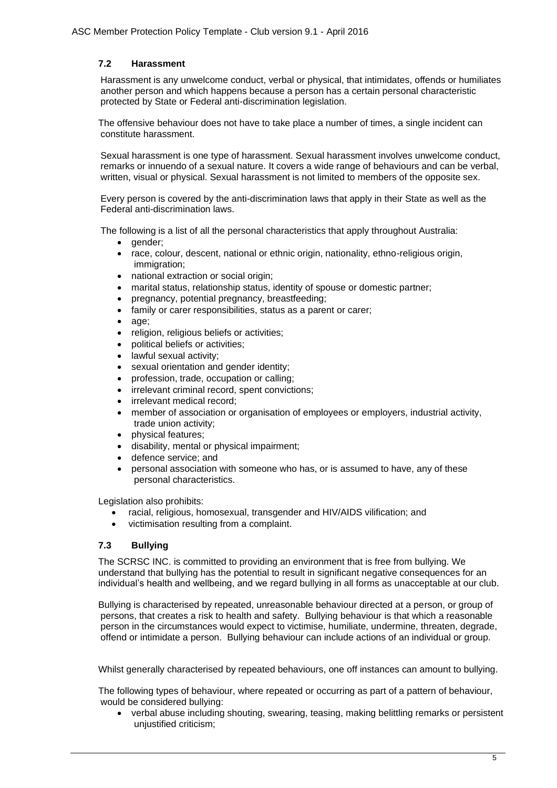#### **7.2 Harassment**

Harassment is any unwelcome conduct, verbal or physical, that intimidates, offends or humiliates another person and which happens because a person has a certain personal characteristic protected by State or Federal anti-discrimination legislation.

The offensive behaviour does not have to take place a number of times, a single incident can constitute harassment.

Sexual harassment is one type of harassment. Sexual harassment involves unwelcome conduct, remarks or innuendo of a sexual nature. It covers a wide range of behaviours and can be verbal, written, visual or physical. Sexual harassment is not limited to members of the opposite sex.

Every person is covered by the anti-discrimination laws that apply in their State as well as the Federal anti-discrimination laws.

The following is a list of all the personal characteristics that apply throughout Australia:

- gender:
- race, colour, descent, national or ethnic origin, nationality, ethno-religious origin, immigration;
- national extraction or social origin;
- marital status, relationship status, identity of spouse or domestic partner;
- pregnancy, potential pregnancy, breastfeeding;
- family or carer responsibilities, status as a parent or carer;
- age;
- religion, religious beliefs or activities;
- political beliefs or activities;
- lawful sexual activity:
- sexual orientation and gender identity;
- profession, trade, occupation or calling;
- irrelevant criminal record, spent convictions;
- irrelevant medical record:
- member of association or organisation of employees or employers, industrial activity, trade union activity;
- physical features;
- disability, mental or physical impairment;
- defence service; and
- personal association with someone who has, or is assumed to have, any of these personal characteristics.

Legislation also prohibits:

- racial, religious, homosexual, transgender and HIV/AIDS vilification; and
- victimisation resulting from a complaint.

#### **7.3 Bullying**

The SCRSC INC. is committed to providing an environment that is free from bullying. We understand that bullying has the potential to result in significant negative consequences for an individual's health and wellbeing, and we regard bullying in all forms as unacceptable at our club.

Bullying is characterised by repeated, unreasonable behaviour directed at a person, or group of persons, that creates a risk to health and safety. Bullying behaviour is that which a reasonable person in the circumstances would expect to victimise, humiliate, undermine, threaten, degrade, offend or intimidate a person. Bullying behaviour can include actions of an individual or group.

Whilst generally characterised by repeated behaviours, one off instances can amount to bullying.

The following types of behaviour, where repeated or occurring as part of a pattern of behaviour, would be considered bullying:

• verbal abuse including shouting, swearing, teasing, making belittling remarks or persistent unjustified criticism;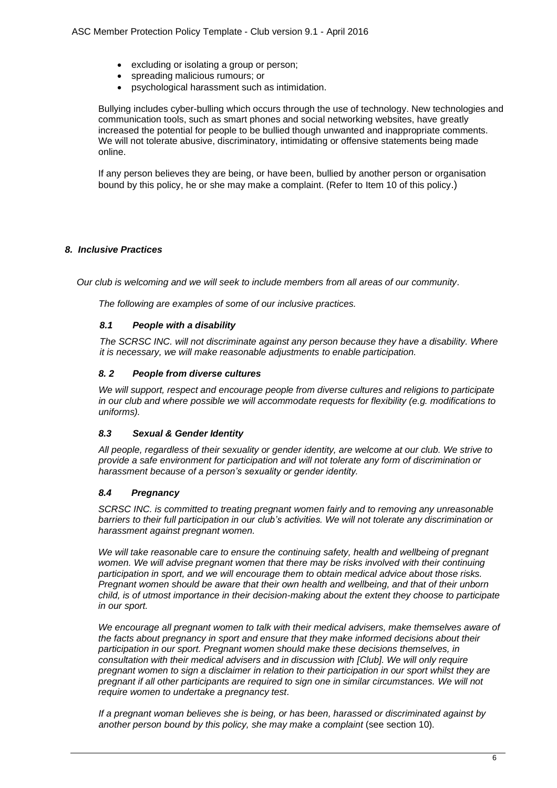- excluding or isolating a group or person;
- spreading malicious rumours; or
- psychological harassment such as intimidation.

Bullying includes cyber-bulling which occurs through the use of technology. New technologies and communication tools, such as smart phones and social networking websites, have greatly increased the potential for people to be bullied though unwanted and inappropriate comments. We will not tolerate abusive, discriminatory, intimidating or offensive statements being made online.

If any person believes they are being, or have been, bullied by another person or organisation bound by this policy, he or she may make a complaint. (Refer to Item 10 of this policy.)

#### *8. Inclusive Practices*

*Our club is welcoming and we will seek to include members from all areas of our community.*

*The following are examples of some of our inclusive practices.*

#### *8.1 People with a disability*

*The SCRSC INC. will not discriminate against any person because they have a disability. Where it is necessary, we will make reasonable adjustments to enable participation.*

#### *8. 2 People from diverse cultures*

*We will support, respect and encourage people from diverse cultures and religions to participate in our club and where possible we will accommodate requests for flexibility (e.g. modifications to uniforms).*

#### *8.3 Sexual & Gender Identity*

*All people, regardless of their sexuality or gender identity, are welcome at our club. We strive to provide a safe environment for participation and will not tolerate any form of discrimination or harassment because of a person's sexuality or gender identity.* 

#### *8.4 Pregnancy*

*SCRSC INC. is committed to treating pregnant women fairly and to removing any unreasonable barriers to their full participation in our club's activities. We will not tolerate any discrimination or harassment against pregnant women.* 

*We will take reasonable care to ensure the continuing safety, health and wellbeing of pregnant women. We will advise pregnant women that there may be risks involved with their continuing participation in sport, and we will encourage them to obtain medical advice about those risks. Pregnant women should be aware that their own health and wellbeing, and that of their unborn child, is of utmost importance in their decision-making about the extent they choose to participate in our sport.*

*We encourage all pregnant women to talk with their medical advisers, make themselves aware of the facts about pregnancy in sport and ensure that they make informed decisions about their participation in our sport. Pregnant women should make these decisions themselves, in consultation with their medical advisers and in discussion with [Club]. We will only require pregnant women to sign a disclaimer in relation to their participation in our sport whilst they are pregnant if all other participants are required to sign one in similar circumstances. We will not require women to undertake a pregnancy test.*

*If a pregnant woman believes she is being, or has been, harassed or discriminated against by another person bound by this policy, she may make a complaint* (see section 10)*.*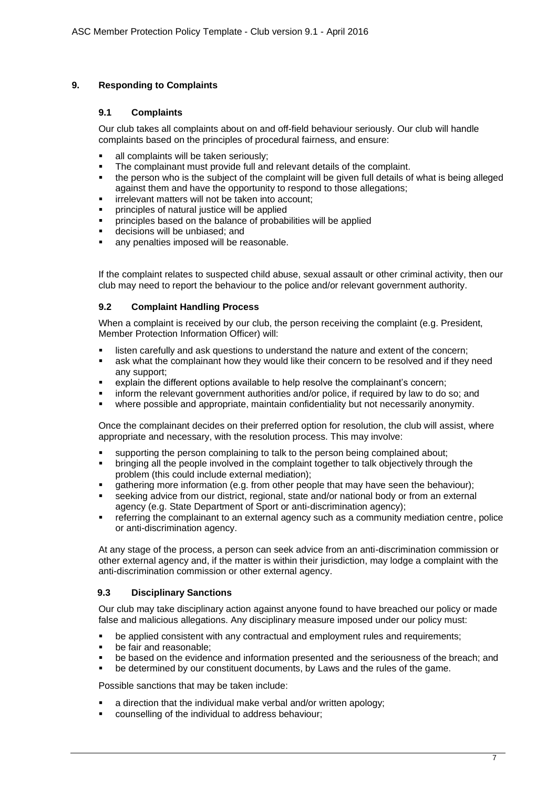#### **9. Responding to Complaints**

#### **9.1 Complaints**

Our club takes all complaints about on and off-field behaviour seriously. Our club will handle complaints based on the principles of procedural fairness, and ensure:

- all complaints will be taken seriously;
- The complainant must provide full and relevant details of the complaint.
- the person who is the subject of the complaint will be given full details of what is being alleged against them and have the opportunity to respond to those allegations;
- **·** irrelevant matters will not be taken into account;
- principles of natural justice will be applied
- **•** principles based on the balance of probabilities will be applied
- decisions will be unbiased; and
- any penalties imposed will be reasonable.

If the complaint relates to suspected child abuse, sexual assault or other criminal activity, then our club may need to report the behaviour to the police and/or relevant government authority.

#### **9.2 Complaint Handling Process**

When a complaint is received by our club, the person receiving the complaint (e.g. President, Member Protection Information Officer) will:

- **.** listen carefully and ask questions to understand the nature and extent of the concern;
- **•** ask what the complainant how they would like their concern to be resolved and if they need any support;
- explain the different options available to help resolve the complainant's concern;
- inform the relevant government authorities and/or police, if required by law to do so; and
- where possible and appropriate, maintain confidentiality but not necessarily anonymity.

Once the complainant decides on their preferred option for resolution, the club will assist, where appropriate and necessary, with the resolution process. This may involve:

- supporting the person complaining to talk to the person being complained about;
- bringing all the people involved in the complaint together to talk objectively through the problem (this could include external mediation);
- **•** gathering more information (e.g. from other people that may have seen the behaviour);
- seeking advice from our district, regional, state and/or national body or from an external agency (e.g. State Department of Sport or anti-discrimination agency);
- **•** referring the complainant to an external agency such as a community mediation centre, police or anti-discrimination agency.

At any stage of the process, a person can seek advice from an anti-discrimination commission or other external agency and, if the matter is within their jurisdiction, may lodge a complaint with the anti-discrimination commission or other external agency.

#### **9.3 Disciplinary Sanctions**

Our club may take disciplinary action against anyone found to have breached our policy or made false and malicious allegations. Any disciplinary measure imposed under our policy must:

- be applied consistent with any contractual and employment rules and requirements;
- be fair and reasonable;
- be based on the evidence and information presented and the seriousness of the breach; and
- be determined by our constituent documents, by Laws and the rules of the game.

Possible sanctions that may be taken include:

- a direction that the individual make verbal and/or written apology;
- counselling of the individual to address behaviour;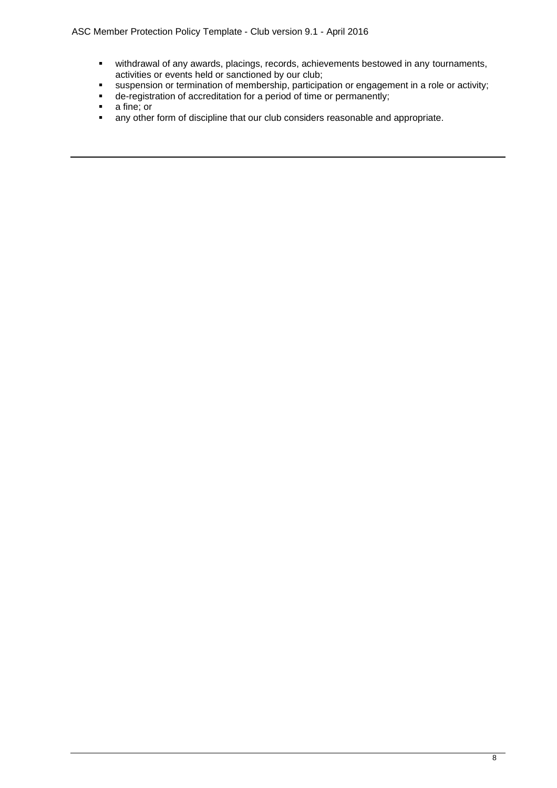- withdrawal of any awards, placings, records, achievements bestowed in any tournaments, activities or events held or sanctioned by our club;
- **EXECTS** suspension or termination of membership, participation or engagement in a role or activity;
- de-registration of accreditation for a period of time or permanently;
- a fine; or
- **•** any other form of discipline that our club considers reasonable and appropriate.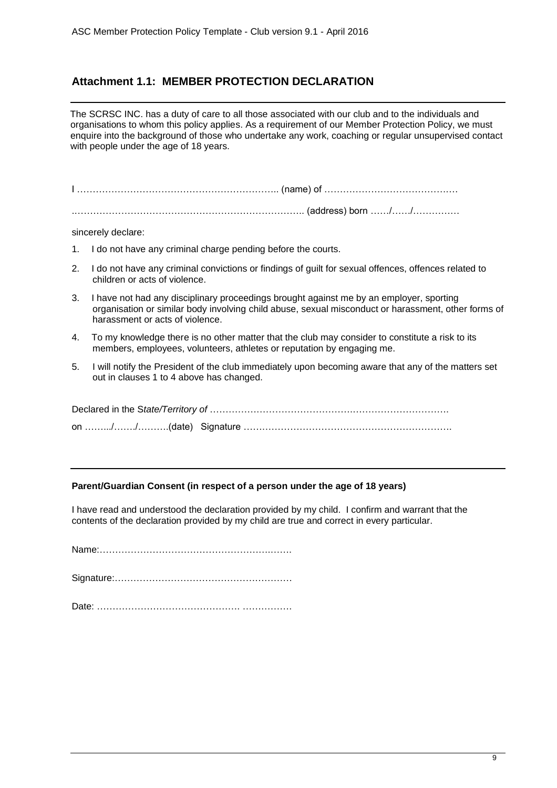# **Attachment 1.1: MEMBER PROTECTION DECLARATION**

The SCRSC INC. has a duty of care to all those associated with our club and to the individuals and organisations to whom this policy applies. As a requirement of our Member Protection Policy, we must enquire into the background of those who undertake any work, coaching or regular unsupervised contact with people under the age of 18 years.

I ……………………………………………………….. (name) of …………………………………….

.……………………………………………………………….. (address) born ……/……/……………

sincerely declare:

- 1. I do not have any criminal charge pending before the courts.
- 2. I do not have any criminal convictions or findings of guilt for sexual offences, offences related to children or acts of violence.
- 3. I have not had any disciplinary proceedings brought against me by an employer, sporting organisation or similar body involving child abuse, sexual misconduct or harassment, other forms of harassment or acts of violence.
- 4. To my knowledge there is no other matter that the club may consider to constitute a risk to its members, employees, volunteers, athletes or reputation by engaging me.
- 5. I will notify the President of the club immediately upon becoming aware that any of the matters set out in clauses 1 to 4 above has changed.

#### **Parent/Guardian Consent (in respect of a person under the age of 18 years)**

I have read and understood the declaration provided by my child. I confirm and warrant that the contents of the declaration provided by my child are true and correct in every particular.

Name:……………………………………………….…….

Signature:…………………………………………………

Date: ………………………………………. …………….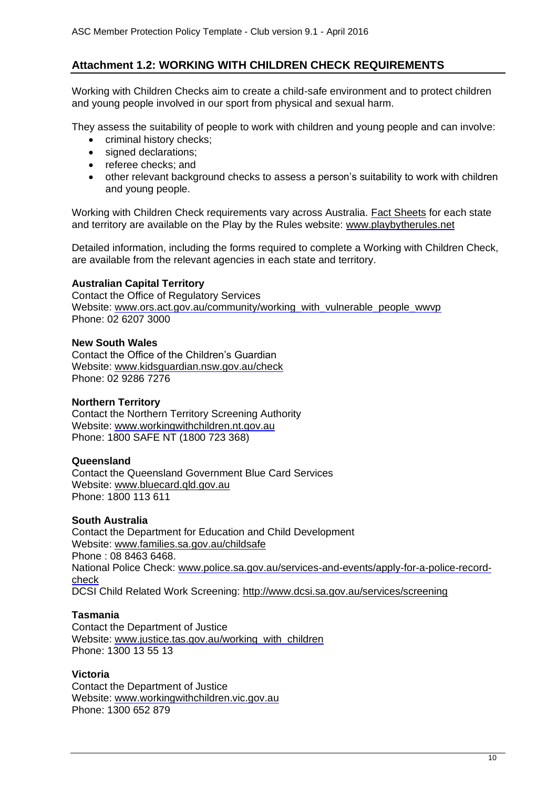# **Attachment 1.2: WORKING WITH CHILDREN CHECK REQUIREMENTS**

Working with Children Checks aim to create a child-safe environment and to protect children and young people involved in our sport from physical and sexual harm.

They assess the suitability of people to work with children and young people and can involve:

- criminal history checks;
- signed declarations:
- referee checks; and
- other relevant background checks to assess a person's suitability to work with children and young people.

Working with Children Check requirements vary across Australia. [Fact Sheets](http://www.playbytherules.net.au/legal-stuff/child-protection/child-protection-laws-explained/screening) for each state and territory are available on the Play by the Rules website: [www.playbytherules.net](http://www.playbytherules.net/)

Detailed information, including the forms required to complete a Working with Children Check, are available from the relevant agencies in each state and territory.

#### **Australian Capital Territory**

Contact the Office of Regulatory Services Website: [www.ors.act.gov.au/community/working\\_with\\_vulnerable\\_people\\_wwvp](http://www.ors.act.gov.au/community/working_with_vulnerable_people_wwvp) Phone: 02 6207 3000

#### **New South Wales**

Contact the Office of the Children's Guardian Website: [www.kidsguardian.nsw.gov.au/](http://www.kidsguardian.nsw.gov.au/)check Phone: 02 9286 7276

#### **Northern Territory**

Contact the Northern Territory Screening Authority Website: [www.workingwithchildren.nt.gov.au](http://www.workingwithchildren.nt.gov.au/) Phone: 1800 SAFE NT (1800 723 368)

#### **Queensland**

Contact the Queensland Government Blue Card Services Website: [www.bluecard.qld.gov.au](http://www.bluecard.qld.gov.au/) Phone: 1800 113 611

#### **South Australia**

Contact the Department for Education and Child Development Website: [www.families.sa.gov.au/childsafe](http://www.families.sa.gov.au/childsafe) Phone : 08 8463 6468. National Police Check: [www.police.sa.gov.au/services-and-events/apply-for-a-police-record](http://www.police.sa.gov.au/services-and-events/apply-for-a-police-record-check)[check](http://www.police.sa.gov.au/services-and-events/apply-for-a-police-record-check) DCSI Child Related Work Screening: <http://www.dcsi.sa.gov.au/services/screening>

#### **Tasmania**

Contact the Department of Justice Website: [www.justice.tas.gov.au/working\\_with\\_children](http://www.justice.tas.gov.au/working_with_children) Phone: 1300 13 55 13

#### **Victoria**

Contact the Department of Justice Website: [www.workingwithchildren.vic.gov.au](http://www.workingwithchildren.vic.gov.au/) Phone: 1300 652 879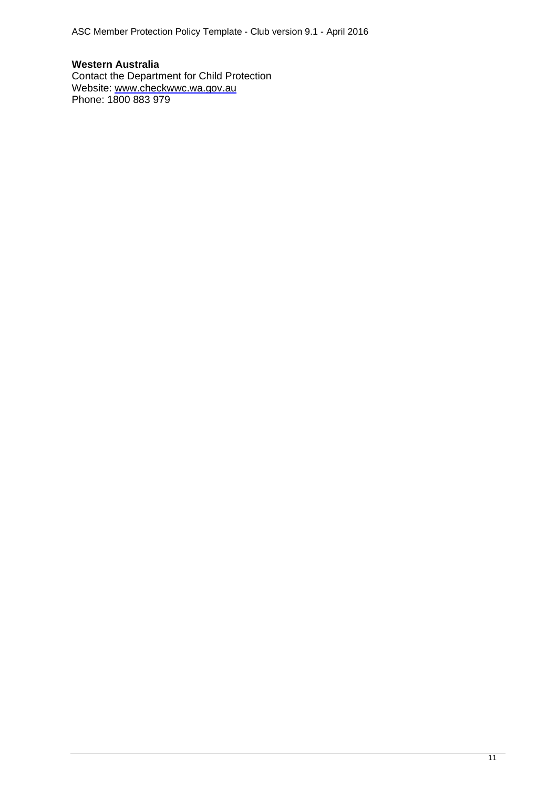**Western Australia** Contact the Department for Child Protection Website: [www.checkwwc.wa.gov.au](http://www.checkwwc.wa.gov.au/) Phone: 1800 883 979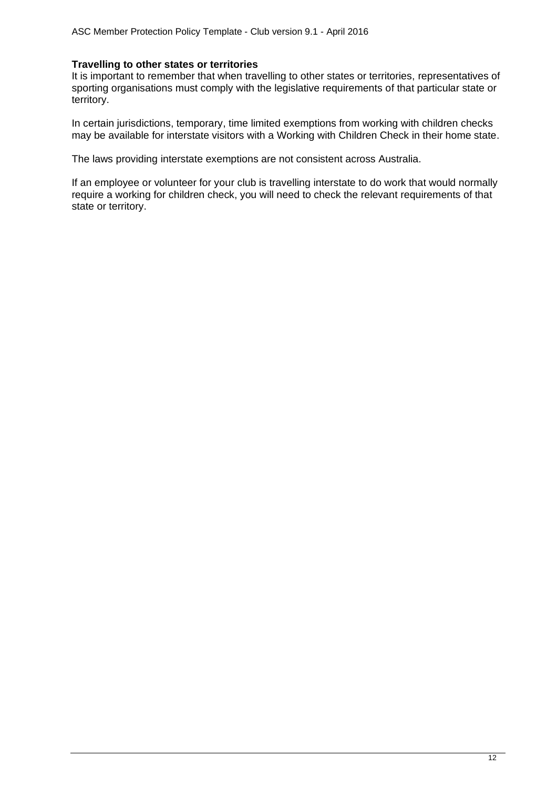#### **Travelling to other states or territories**

It is important to remember that when travelling to other states or territories, representatives of sporting organisations must comply with the legislative requirements of that particular state or territory.

In certain jurisdictions, temporary, time limited exemptions from working with children checks may be available for interstate visitors with a Working with Children Check in their home state.

The laws providing interstate exemptions are not consistent across Australia.

If an employee or volunteer for your club is travelling interstate to do work that would normally require a working for children check, you will need to check the relevant requirements of that state or territory.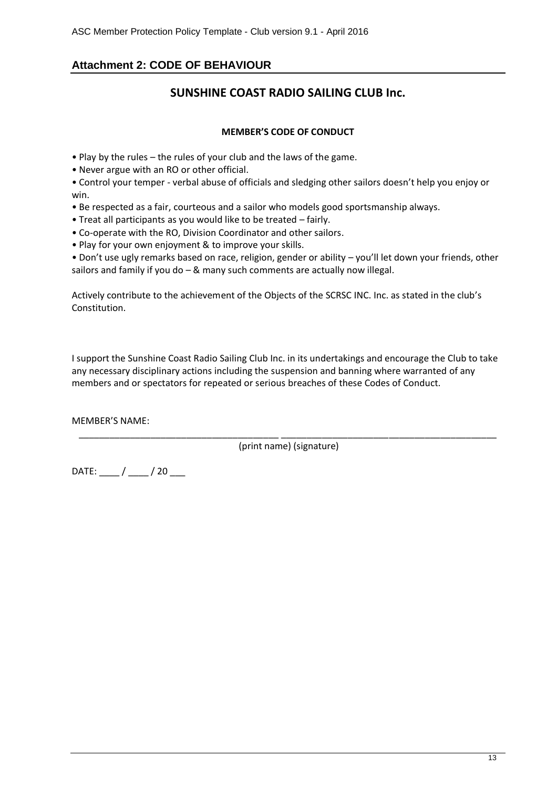# **Attachment 2: CODE OF BEHAVIOUR**

# **SUNSHINE COAST RADIO SAILING CLUB Inc.**

#### **MEMBER'S CODE OF CONDUCT**

- Play by the rules the rules of your club and the laws of the game.
- Never argue with an RO or other official.

• Control your temper - verbal abuse of officials and sledging other sailors doesn't help you enjoy or win.

- Be respected as a fair, courteous and a sailor who models good sportsmanship always.
- Treat all participants as you would like to be treated fairly.
- Co-operate with the RO, Division Coordinator and other sailors.
- Play for your own enjoyment & to improve your skills.

• Don't use ugly remarks based on race, religion, gender or ability – you'll let down your friends, other sailors and family if you do  $-$  & many such comments are actually now illegal.

Actively contribute to the achievement of the Objects of the SCRSC INC. Inc. as stated in the club's Constitution.

I support the Sunshine Coast Radio Sailing Club Inc. in its undertakings and encourage the Club to take any necessary disciplinary actions including the suspension and banning where warranted of any members and or spectators for repeated or serious breaches of these Codes of Conduct.

MEMBER'S NAME:

\_\_\_\_\_\_\_\_\_\_\_\_\_\_\_\_\_\_\_\_\_\_\_\_\_\_\_\_\_\_\_\_\_\_\_\_\_\_\_ \_\_\_\_\_\_\_\_\_\_\_\_\_\_\_\_\_\_\_\_\_\_\_\_\_\_\_\_\_\_\_\_\_\_\_\_\_\_\_\_\_\_ (print name) (signature)

 $DATE:$   $/$   $/$   $/$   $20$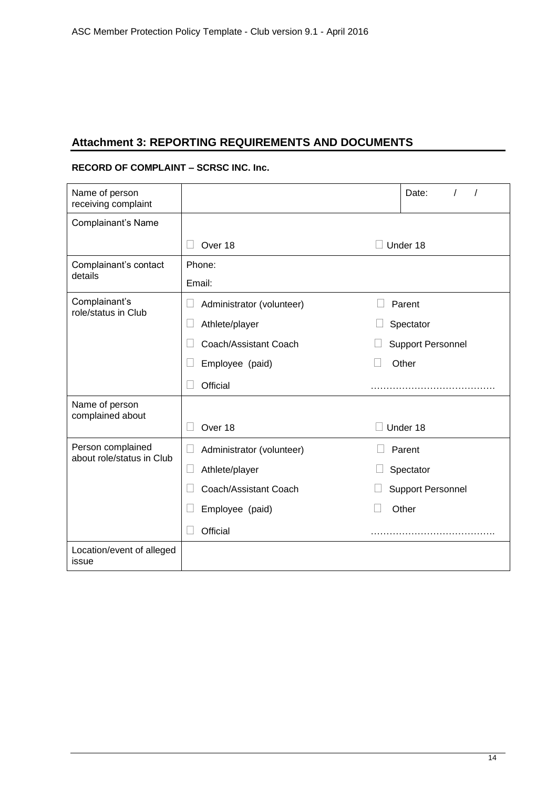# **Attachment 3: REPORTING REQUIREMENTS AND DOCUMENTS**

#### **RECORD OF COMPLAINT – SCRSC INC. Inc.**

| Name of person<br>receiving complaint |                           | Date:                    |  |  |
|---------------------------------------|---------------------------|--------------------------|--|--|
| Complainant's Name                    |                           |                          |  |  |
|                                       | Over 18<br>Under 18       |                          |  |  |
| Complainant's contact<br>details      | Phone:                    |                          |  |  |
|                                       | Email:                    |                          |  |  |
| Complainant's<br>role/status in Club  | Administrator (volunteer) | Parent                   |  |  |
|                                       | Athlete/player            | Spectator                |  |  |
|                                       | Coach/Assistant Coach     | <b>Support Personnel</b> |  |  |
|                                       | Employee (paid)           | Other                    |  |  |
|                                       | Official                  |                          |  |  |
|                                       |                           |                          |  |  |
| Name of person                        |                           |                          |  |  |
| complained about                      | Over 18                   | Under 18                 |  |  |
| Person complained                     | Administrator (volunteer) | Parent                   |  |  |
| about role/status in Club             | □<br>Athlete/player       | Spectator                |  |  |
|                                       | Coach/Assistant Coach     | <b>Support Personnel</b> |  |  |
|                                       | Employee (paid)           | Other                    |  |  |
|                                       | Official                  |                          |  |  |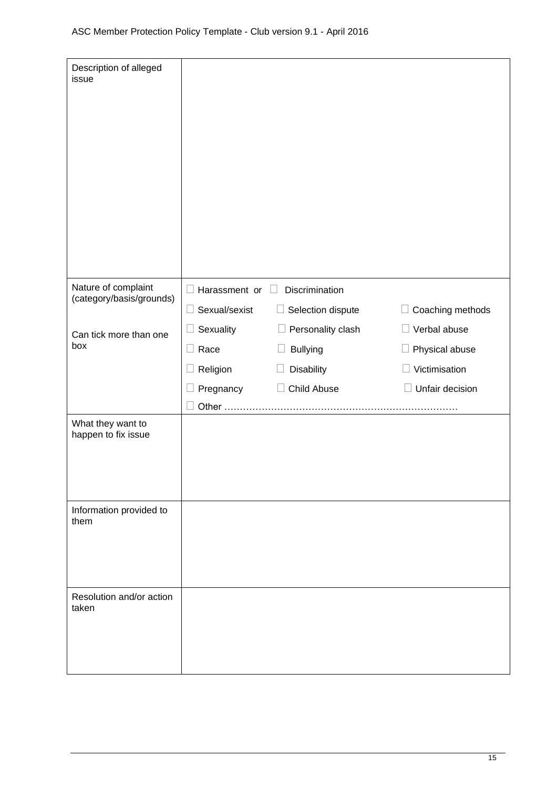| Description of alleged<br>issue          |                                                         |                                                              |                           |  |
|------------------------------------------|---------------------------------------------------------|--------------------------------------------------------------|---------------------------|--|
| Nature of complaint                      | <b>Discrimination</b><br>$\Box$ Harassment or<br>$\Box$ |                                                              |                           |  |
| (category/basis/grounds)                 | Sexual/sexist<br>$\Box$                                 | Selection dispute<br>ப                                       | Coaching methods<br>Ш     |  |
| Can tick more than one                   | Sexuality                                               | $\Box$ Personality clash                                     | Verbal abuse              |  |
| box                                      | Race<br>$\Box$                                          | <b>Bullying</b>                                              | Physical abuse            |  |
|                                          | Religion                                                | Disability<br>$\begin{bmatrix} 1 & 0 \\ 0 & 1 \end{bmatrix}$ | Victimisation             |  |
|                                          | Pregnancy                                               | Child Abuse                                                  | Unfair decision<br>$\Box$ |  |
|                                          | Other                                                   |                                                              |                           |  |
| What they want to<br>happen to fix issue |                                                         |                                                              |                           |  |
| Information provided to<br>them          |                                                         |                                                              |                           |  |
| Resolution and/or action<br>taken        |                                                         |                                                              |                           |  |